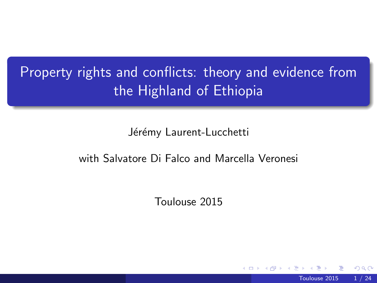# Property rights and conflicts: theory and evidence from the Highland of Ethiopia

Jérémy Laurent-Lucchetti

#### with Salvatore Di Falco and Marcella Veronesi

Toulouse 2015

<span id="page-0-0"></span>Toulouse 2015 1 / 24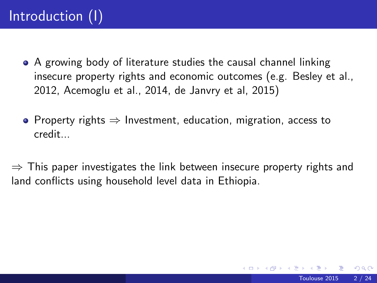- A growing body of literature studies the causal channel linking insecure property rights and economic outcomes (e.g. Besley et al., 2012, Acemoglu et al., 2014, de Janvry et al, 2015)
- Property rights  $\Rightarrow$  Investment, education, migration, access to credit...

 $\Rightarrow$  This paper investigates the link between insecure property rights and land conflicts using household level data in Ethiopia.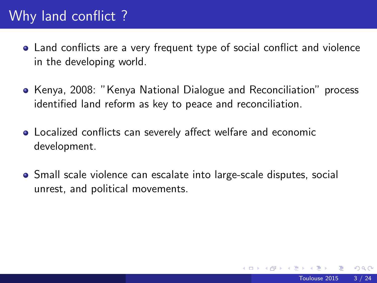## Why land conflict ?

- Land conflicts are a very frequent type of social conflict and violence in the developing world.
- Kenya, 2008: "Kenya National Dialogue and Reconciliation" process identified land reform as key to peace and reconciliation.
- Localized conflicts can severely affect welfare and economic development.
- Small scale violence can escalate into large-scale disputes, social unrest, and political movements.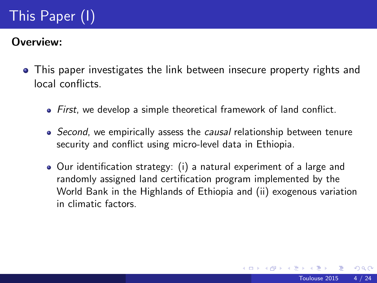# This Paper (I)

#### Overview:

- This paper investigates the link between insecure property rights and local conflicts.
	- First, we develop a simple theoretical framework of land conflict.
	- Second, we empirically assess the causal relationship between tenure security and conflict using micro-level data in Ethiopia.
	- Our identification strategy: (i) a natural experiment of a large and randomly assigned land certification program implemented by the World Bank in the Highlands of Ethiopia and (ii) exogenous variation in climatic factors.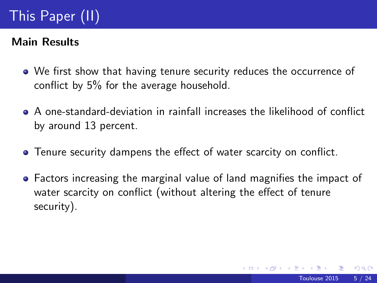# This Paper (II)

### Main Results

- We first show that having tenure security reduces the occurrence of conflict by 5% for the average household.
- A one-standard-deviation in rainfall increases the likelihood of conflict by around 13 percent.
- Tenure security dampens the effect of water scarcity on conflict.
- Factors increasing the marginal value of land magnifies the impact of water scarcity on conflict (without altering the effect of tenure security).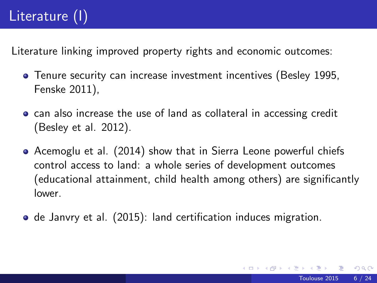# Literature (I)

Literature linking improved property rights and economic outcomes:

- Tenure security can increase investment incentives (Besley 1995, Fenske 2011),
- **•** can also increase the use of land as collateral in accessing credit (Besley et al. 2012).
- Acemoglu et al. (2014) show that in Sierra Leone powerful chiefs control access to land: a whole series of development outcomes (educational attainment, child health among others) are significantly lower.
- **o** de Janvry et al. (2015): land certification induces migration.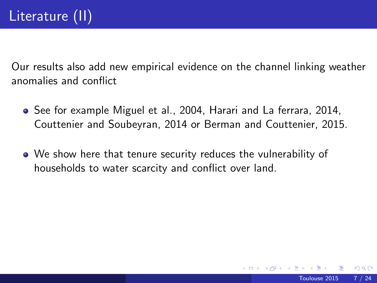Our results also add new empirical evidence on the channel linking weather anomalies and conflict

- See for example Miguel et al., 2004, Harari and La ferrara, 2014, Couttenier and Soubeyran, 2014 or Berman and Couttenier, 2015.
- We show here that tenure security reduces the vulnerability of households to water scarcity and conflict over land.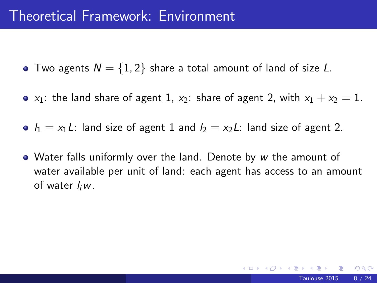- Two agents  $N = \{1, 2\}$  share a total amount of land of size L.
- $x_1$ : the land share of agent 1,  $x_2$ : share of agent 2, with  $x_1 + x_2 = 1$ .
- $l_1 = x_1L$ : land size of agent 1 and  $l_2 = x_2L$ : land size of agent 2.
- Water falls uniformly over the land. Denote by w the amount of water available per unit of land: each agent has access to an amount of water  $I_iw$ .

つへへ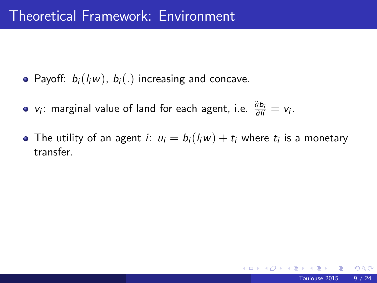- Payoff:  $b_i(l_iw)$ ,  $b_i(.)$  increasing and concave.
- *v*<sub>i</sub>: marginal value of land for each agent, i.e.  $\frac{\partial b_i}{\partial I_i} = v_i$ .
- The utility of an agent  $i\colon u_i=b_i(l_iw)+t_i$  where  $t_i$  is a monetary transfer.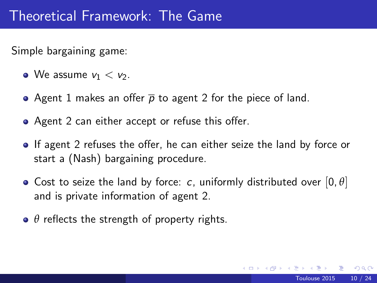Simple bargaining game:

- We assume  $v_1 < v_2$ .
- Agent 1 makes an offer  $\bar{p}$  to agent 2 for the piece of land.
- Agent 2 can either accept or refuse this offer.
- If agent 2 refuses the offer, he can either seize the land by force or start a (Nash) bargaining procedure.
- Cost to seize the land by force: c, uniformly distributed over  $[0, \theta]$ and is private information of agent 2.
- *θ* reflects the strength of property rights.

つへへ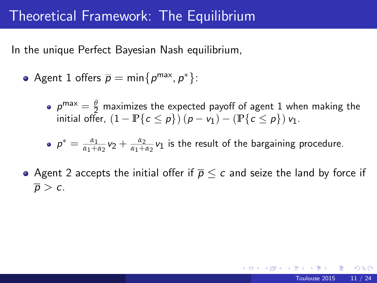## Theoretical Framework: The Equilibrium

In the unique Perfect Bayesian Nash equilibrium,

- Agent 1 offers  $\overline{p} = \min\{p^{\text{max}}, p^*\}$ :
	- $p^{\text{max}} = \frac{\theta}{2}$  maximizes the expected payoff of agent 1 when making the initial offer,  $(1 - \mathbb{P}\{c \le p\})$   $(p - v_1) - (\mathbb{P}\{c \le p\}) v_1$ .

 $p^* = \frac{\alpha_1}{\alpha_1+\alpha_2}v_2 + \frac{\alpha_2}{\alpha_1+\alpha_2}v_1$  is the result of the bargaining procedure.

• Agent 2 accepts the initial offer if  $\overline{p} \leq c$  and seize the land by force if  $\overline{p} > c$ .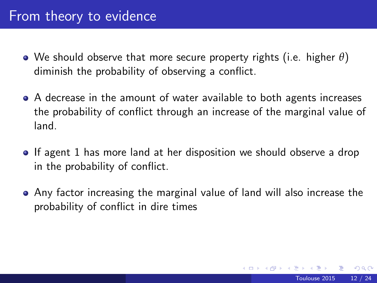### From theory to evidence

- We should observe that more secure property rights (i.e. higher *θ*) diminish the probability of observing a conflict.
- A decrease in the amount of water available to both agents increases the probability of conflict through an increase of the marginal value of land.
- If agent 1 has more land at her disposition we should observe a drop in the probability of conflict.
- Any factor increasing the marginal value of land will also increase the probability of conflict in dire times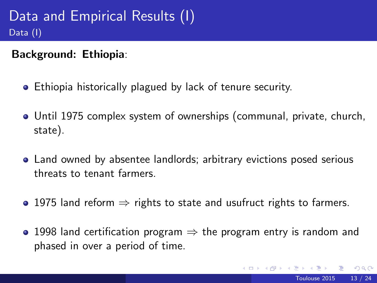Background: Ethiopia:

- Ethiopia historically plagued by lack of tenure security.
- Until 1975 complex system of ownerships (communal, private, church, state).
- Land owned by absentee landlords; arbitrary evictions posed serious threats to tenant farmers.
- 1975 land reform  $\Rightarrow$  rights to state and usufruct rights to farmers.
- 1998 land certification program  $\Rightarrow$  the program entry is random and phased in over a period of time.

 $200$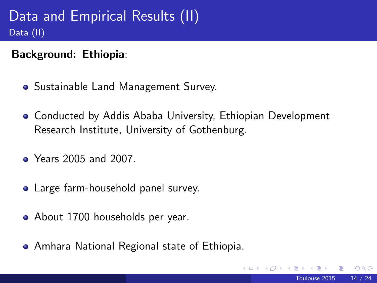Background: Ethiopia:

- Sustainable Land Management Survey.
- Conducted by Addis Ababa University, Ethiopian Development Research Institute, University of Gothenburg.
- Years 2005 and 2007.
- Large farm-household panel survey.
- About 1700 households per year.
- Amhara National Regional state of Ethiopia.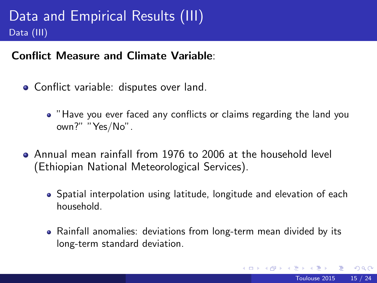#### Conflict Measure and Climate Variable:

- **Conflict variable: disputes over land.** 
	- "Have you ever faced any conflicts or claims regarding the land you own?" "Yes/No".
- Annual mean rainfall from 1976 to 2006 at the household level (Ethiopian National Meteorological Services).
	- Spatial interpolation using latitude, longitude and elevation of each household.
	- Rainfall anomalies: deviations from long-term mean divided by its long-term standard deviation.

 $200$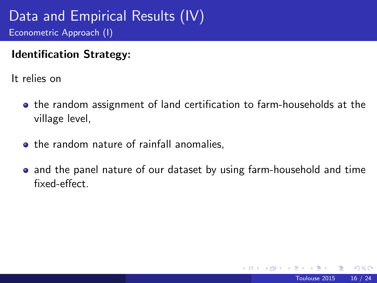### Data and Empirical Results (IV) Econometric Approach (I)

#### Identification Strategy:

It relies on

- **•** the random assignment of land certification to farm-households at the village level,
- the random nature of rainfall anomalies.
- and the panel nature of our dataset by using farm-household and time fixed-effect.

 $200$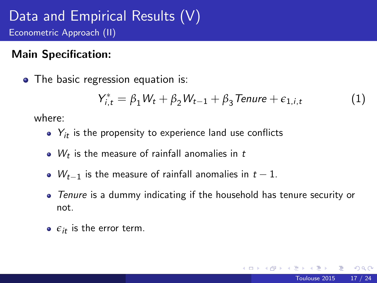### Data and Empirical Results (V) Econometric Approach (II)

### Main Specification:

• The basic regression equation is:

$$
Y_{i,t}^* = \beta_1 W_t + \beta_2 W_{t-1} + \beta_3 \text{Tenure} + \epsilon_{1,i,t} \tag{1}
$$

where:

- $\bullet$   $Y_{it}$  is the propensity to experience land use conflicts
- $\bullet$  W<sub>t</sub> is the measure of rainfall anomalies in t
- $W_{t-1}$  is the measure of rainfall anomalies in  $t-1$ .
- Tenure is a dummy indicating if the household has tenure security or not.
- $\bullet$   $\varepsilon_{it}$  is the error term.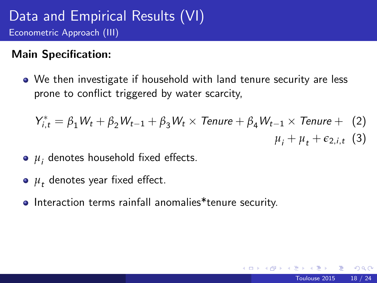### Main Specification:

We then investigate if household with land tenure security are less prone to conflict triggered by water scarcity,

$$
Y_{i,t}^* = \beta_1 W_t + \beta_2 W_{t-1} + \beta_3 W_t \times \text{Tenure} + \beta_4 W_{t-1} \times \text{Tenure} + (2)
$$
  

$$
\mu_i + \mu_t + \epsilon_{2,i,t} (3)
$$

- $\mu_i$  denotes household fixed effects.
- $\mu_{\textit{t}}^{\vphantom{\dagger}}$  denotes year fixed effect.
- Interaction terms rainfall anomalies\*tenure security.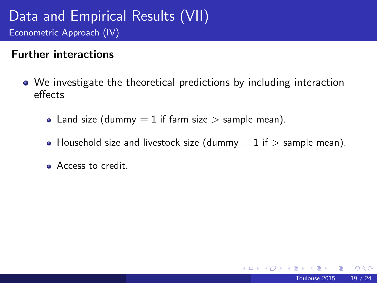### Data and Empirical Results (VII) Econometric Approach (IV)

#### Further interactions

- We investigate the theoretical predictions by including interaction effects
	- Land size (dummy  $= 1$  if farm size  $>$  sample mean).
	- Household size and livestock size (dummy  $= 1$  if  $>$  sample mean).

4 0 8

• Access to credit.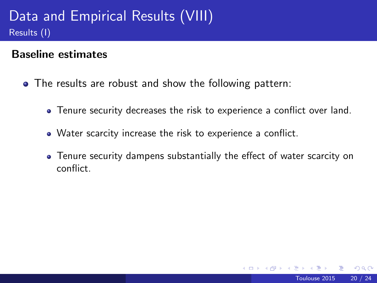## Data and Empirical Results (VIII) Results (I)

#### Baseline estimates

- <span id="page-19-0"></span>The results are robust and show the following pattern:
	- Tenure security decreases the risk to experience a conflict over land.
	- Water scarcity increase the risk to experience a conflict.
	- Tenure security dampens substantially the effect of water scarcity on conflict.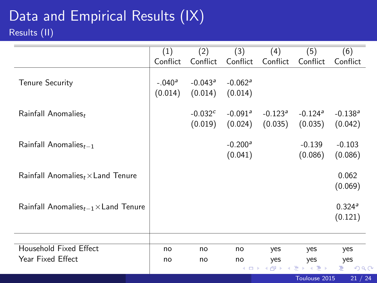## Data and Empirical Results (IX) Results (II)

<span id="page-20-0"></span>

|                                                  | (1)                 | (2)                              | (3)                              | (4)                              | (5)                              | (6)                              |
|--------------------------------------------------|---------------------|----------------------------------|----------------------------------|----------------------------------|----------------------------------|----------------------------------|
|                                                  | Conflict            | Conflict                         | Conflict                         | Conflict                         | Conflict                         | Conflict                         |
| <b>Tenure Security</b>                           | $-.040a$<br>(0.014) | $-0.043$ <sup>a</sup><br>(0.014) | $-0.062$ <sup>a</sup><br>(0.014) |                                  |                                  |                                  |
| Rainfall Anomalies,                              |                     | $-0.032c$<br>(0.019)             | $-0.091$ <sup>a</sup><br>(0.024) | $-0.123$ <sup>a</sup><br>(0.035) | $-0.124$ <sup>a</sup><br>(0.035) | $-0.138$ <sup>a</sup><br>(0.042) |
| Rainfall Anomalies $_{t-1}$                      |                     |                                  | $-0.200a$<br>(0.041)             |                                  | $-0.139$<br>(0.086)              | $-0.103$<br>(0.086)              |
| Rainfall Anomalies $_t \times$ Land Tenure       |                     |                                  |                                  |                                  |                                  | 0.062<br>(0.069)                 |
| Rainfall Anomalies $_{t-1}$ $\times$ Land Tenure |                     |                                  |                                  |                                  |                                  | 0.324 <sup>a</sup><br>(0.121)    |
|                                                  |                     |                                  |                                  |                                  |                                  |                                  |
| Household Fixed Effect                           | no                  | no                               | no                               | yes                              | yes                              | yes                              |
| Year Fixed Effect                                | no                  | no                               | no                               | yes                              | yes                              | yes                              |
|                                                  |                     |                                  | 4 O F                            | ●▶                               | Ξ.<br>Э×                         | ÷.<br>$\mathcal{O}$ Q C          |
|                                                  |                     |                                  |                                  |                                  | Toulouse 2015                    | 21 / 24                          |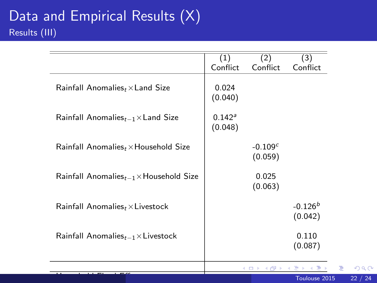|                                                     | (1)                  | (2)                      | (3)                  |
|-----------------------------------------------------|----------------------|--------------------------|----------------------|
|                                                     | Conflict             | Conflict                 | Conflict             |
| Rainfall Anomalies $_t \times$ Land Size            | 0.024<br>(0.040)     |                          |                      |
| Rainfall Anomalies $_{t-1}$ $\times$ Land Size      | $0.142^a$<br>(0.048) |                          |                      |
| Rainfall Anomalies $_t \times$ Household Size       |                      | $-0.109c$<br>(0.059)     |                      |
| Rainfall Anomalies $_{t-1}$ $\times$ Household Size |                      | 0.025<br>(0.063)         |                      |
| Rainfall Anomalies, $\times$ Livestock              |                      |                          | $-0.126b$<br>(0.042) |
| Rainfall Anomalies $_{t-1}$ $\times$ Livestock      |                      |                          | 0.110<br>(0.087)     |
|                                                     |                      | 2 m s 2 Al s 2 l s 2 l s |                      |

Household Fixed Effect yes[ye](#page-20-0)[s](#page-21-0) [ye](#page-23-0)[s](#page-0-0)

 $QQ$ Toulouse 2015 22 / 24

<span id="page-21-0"></span>Þ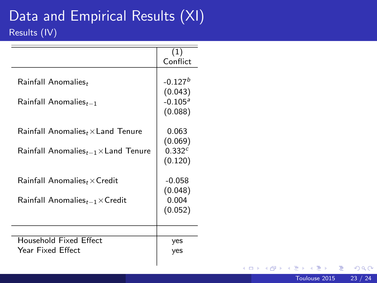## Data and Empirical Results (XI) Results (IV)

|                                                                                                                             | (1)<br>Conflict                              |
|-----------------------------------------------------------------------------------------------------------------------------|----------------------------------------------|
| $Rainfall$ Anomalies,<br>$Rainfall$ Anomalies $_{t-1}$                                                                      | $-0.127b$<br>(0.043)<br>$-0.105a$<br>(0.088) |
| $\mathsf{Rainfall}$ Anomalies ${}_t \times \mathsf{Land}$ Tenure<br>$Rainfall$ Anomalies $_{t-1}$ $\times$ Land Tenure      | 0.063<br>(0.069)<br>0.332c<br>(0.120)        |
| $\mathsf{Rainfall}$ Anomalies, $\times$ Credit<br>$\mathsf{Rainfall}\xspace$ Anomalies $_{t-1}\times\mathsf{Credit}\xspace$ | $-0.058$<br>(0.048)<br>0.004<br>(0.052)      |
| Household Fixed Effect<br>Year Fixed Fffect                                                                                 | yes<br>yes                                   |

**K ロ ト K 伊 ト K** 

<span id="page-22-0"></span> $299$